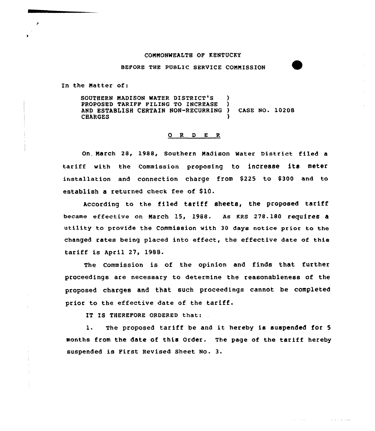## COMMONWEALTH OF KENTUCKY

BEPORE THE PUBLIC SERVICE COMMISSION

In the Natter of:

SOUTHERN MADISON WATER DISTRICT'S ) PROPOSED TARIFF FILING TO INCREASE AND ESTABLISH CERTAIN NON-RECURRING ) CASE NO. 10208 **CHARGES** 

## $O$  R  $D$  E R

On. March 28, 1988, Southern Madison water District filed a tariff with the Commission proposing to increase its meter installation and connection charge from \$225 to \$300 and to establish a returned check fee of \$10.

According to the filed tariff sheets, the proposed tariff became effective on March 15, 1988. As KRS 278.180 requires a utility to provide the Commission with 30 days notice prior to the changed rates being placed into effect, the effective date of this tariff is April 27, 1988.

The Commission is of the opinion and finds that further proceedings are necessary to determine the reasonableness of the proposed charges and that such proceedings cannot be completed prior to the effective date of the tariff.

IT IS THEREFORE ORDERED that:

1. The proposed tariff be and it hereby is suspended for 5 months from the date of this Order. The page of the tariff hereby suspended is First Revised Sheet No. 3.